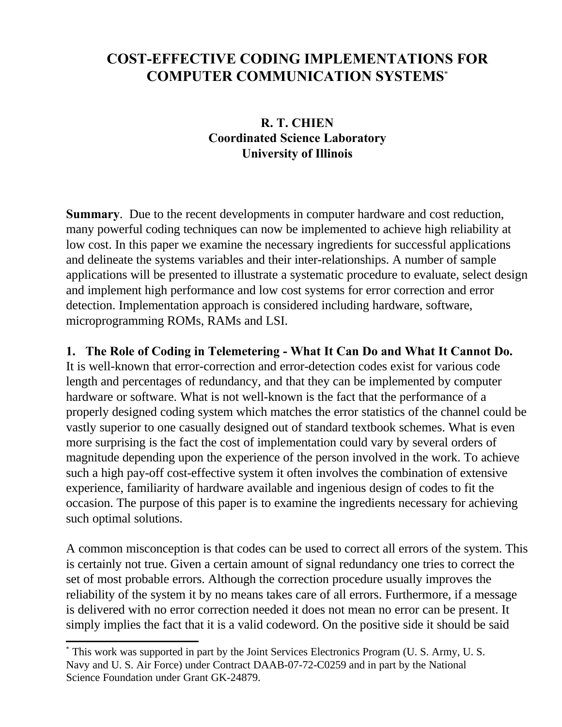## **COST-EFFECTIVE CODING IMPLEMENTATIONS FOR COMPUTER COMMUNICATION SYSTEMS**\*

## **R. T. CHIEN Coordinated Science Laboratory University of Illinois**

**Summary**. Due to the recent developments in computer hardware and cost reduction, many powerful coding techniques can now be implemented to achieve high reliability at low cost. In this paper we examine the necessary ingredients for successful applications and delineate the systems variables and their inter-relationships. A number of sample applications will be presented to illustrate a systematic procedure to evaluate, select design and implement high performance and low cost systems for error correction and error detection. Implementation approach is considered including hardware, software, microprogramming ROMs, RAMs and LSI.

## **1. The Role of Coding in Telemetering - What It Can Do and What It Cannot Do.**

It is well-known that error-correction and error-detection codes exist for various code length and percentages of redundancy, and that they can be implemented by computer hardware or software. What is not well-known is the fact that the performance of a properly designed coding system which matches the error statistics of the channel could be vastly superior to one casually designed out of standard textbook schemes. What is even more surprising is the fact the cost of implementation could vary by several orders of magnitude depending upon the experience of the person involved in the work. To achieve such a high pay-off cost-effective system it often involves the combination of extensive experience, familiarity of hardware available and ingenious design of codes to fit the occasion. The purpose of this paper is to examine the ingredients necessary for achieving such optimal solutions.

A common misconception is that codes can be used to correct all errors of the system. This is certainly not true. Given a certain amount of signal redundancy one tries to correct the set of most probable errors. Although the correction procedure usually improves the reliability of the system it by no means takes care of all errors. Furthermore, if a message is delivered with no error correction needed it does not mean no error can be present. It simply implies the fact that it is a valid codeword. On the positive side it should be said

<sup>\*</sup> This work was supported in part by the Joint Services Electronics Program (U. S. Army, U. S. Navy and U. S. Air Force) under Contract DAAB-07-72-C0259 and in part by the National Science Foundation under Grant GK-24879.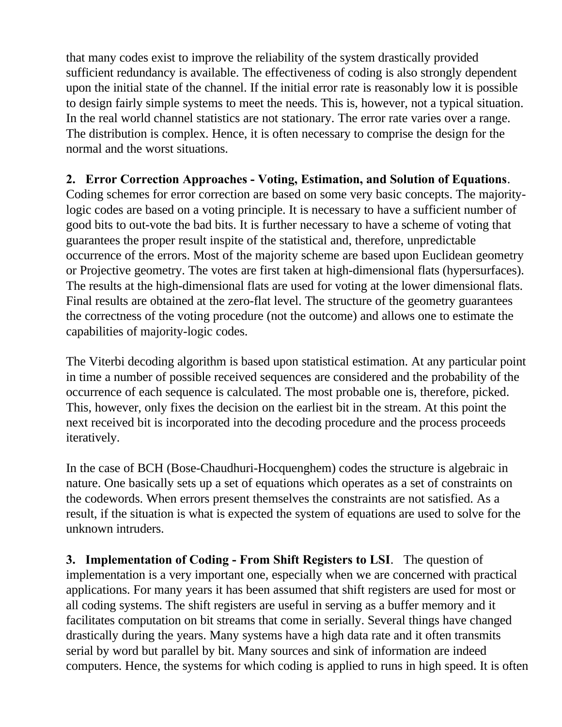that many codes exist to improve the reliability of the system drastically provided sufficient redundancy is available. The effectiveness of coding is also strongly dependent upon the initial state of the channel. If the initial error rate is reasonably low it is possible to design fairly simple systems to meet the needs. This is, however, not a typical situation. In the real world channel statistics are not stationary. The error rate varies over a range. The distribution is complex. Hence, it is often necessary to comprise the design for the normal and the worst situations.

## **2. Error Correction Approaches - Voting, Estimation, and Solution of Equations**.

Coding schemes for error correction are based on some very basic concepts. The majoritylogic codes are based on a voting principle. It is necessary to have a sufficient number of good bits to out-vote the bad bits. It is further necessary to have a scheme of voting that guarantees the proper result inspite of the statistical and, therefore, unpredictable occurrence of the errors. Most of the majority scheme are based upon Euclidean geometry or Projective geometry. The votes are first taken at high-dimensional flats (hypersurfaces). The results at the high-dimensional flats are used for voting at the lower dimensional flats. Final results are obtained at the zero-flat level. The structure of the geometry guarantees the correctness of the voting procedure (not the outcome) and allows one to estimate the capabilities of majority-logic codes.

The Viterbi decoding algorithm is based upon statistical estimation. At any particular point in time a number of possible received sequences are considered and the probability of the occurrence of each sequence is calculated. The most probable one is, therefore, picked. This, however, only fixes the decision on the earliest bit in the stream. At this point the next received bit is incorporated into the decoding procedure and the process proceeds iteratively.

In the case of BCH (Bose-Chaudhuri-Hocquenghem) codes the structure is algebraic in nature. One basically sets up a set of equations which operates as a set of constraints on the codewords. When errors present themselves the constraints are not satisfied. As a result, if the situation is what is expected the system of equations are used to solve for the unknown intruders.

**3. Implementation of Coding - From Shift Registers to LSI**. The question of implementation is a very important one, especially when we are concerned with practical applications. For many years it has been assumed that shift registers are used for most or all coding systems. The shift registers are useful in serving as a buffer memory and it facilitates computation on bit streams that come in serially. Several things have changed drastically during the years. Many systems have a high data rate and it often transmits serial by word but parallel by bit. Many sources and sink of information are indeed computers. Hence, the systems for which coding is applied to runs in high speed. It is often